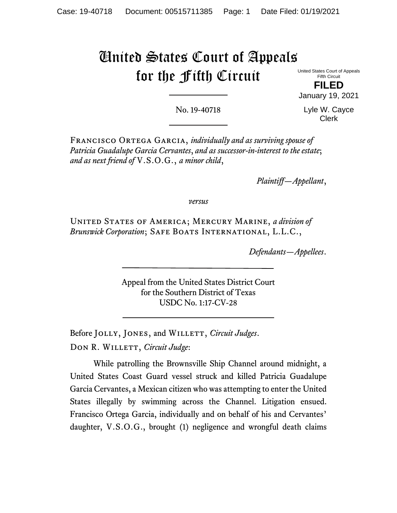# United States Court of Appeals for the Fifth Circuit

United States Court of Appeals Fifth Circuit

**FILED** January 19, 2021

No. 19-40718

Lyle W. Cayce Clerk

Francisco Ortega Garcia, *individually and as surviving spouse of Patricia Guadalupe Garcia Cervantes*, *and as successor-in-interest to the estate*; *and as next friend of* V.S.O.G., *a minor child*,

*Plaintiff—Appellant*,

*versus*

United States of America; Mercury Marine, *a division of Brunswick Corporation*; Safe Boats International, L.L.C.,

*Defendants—Appellees*.

Appeal from the United States District Court for the Southern District of Texas USDC No. 1:17-CV-28

Before JOLLY, JONES, and WILLETT, *Circuit Judges*. DON R. WILLETT, *Circuit Judge*:

While patrolling the Brownsville Ship Channel around midnight, a United States Coast Guard vessel struck and killed Patricia Guadalupe Garcia Cervantes, a Mexican citizen who was attempting to enter the United States illegally by swimming across the Channel. Litigation ensued. Francisco Ortega Garcia, individually and on behalf of his and Cervantes' daughter, V.S.O.G., brought (1) negligence and wrongful death claims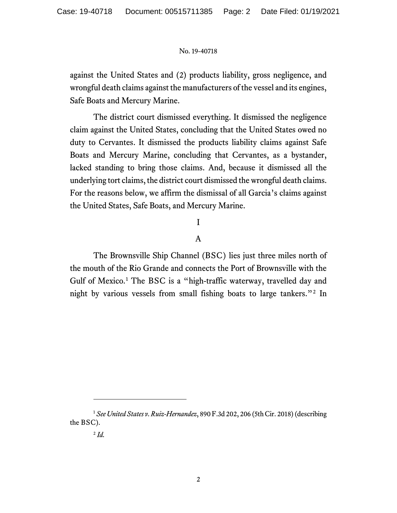against the United States and (2) products liability, gross negligence, and wrongful death claims against the manufacturers of the vessel and its engines, Safe Boats and Mercury Marine.

The district court dismissed everything. It dismissed the negligence claim against the United States, concluding that the United States owed no duty to Cervantes. It dismissed the products liability claims against Safe Boats and Mercury Marine, concluding that Cervantes, as a bystander, lacked standing to bring those claims. And, because it dismissed all the underlying tort claims, the district court dismissed the wrongful death claims. For the reasons below, we affirm the dismissal of all Garcia's claims against the United States, Safe Boats, and Mercury Marine.

# I

## A

The Brownsville Ship Channel (BSC) lies just three miles north of the mouth of the Rio Grande and connects the Port of Brownsville with the Gulf of Mexico. [1](#page-1-0) The BSC is a "high-traffic waterway, travelled day and night by various vessels from small fishing boats to large tankers."[2](#page-1-1) In

<span id="page-1-1"></span><span id="page-1-0"></span><sup>1</sup> *See United States v. Ruiz-Hernandez*, 890 F.3d 202, 206 (5th Cir. 2018) (describing the BSC).

<sup>2</sup> *Id.*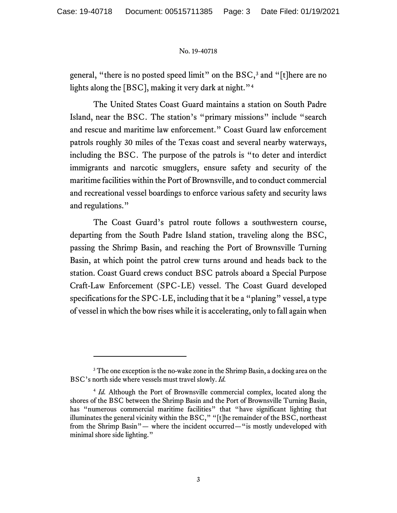general, "there is no posted speed limit" on the  $BSC<sub>3</sub>$  $BSC<sub>3</sub>$  $BSC<sub>3</sub>$  and "[t]here are no lights along the [BSC], making it very dark at night."<sup>[4](#page-2-1)</sup>

The United States Coast Guard maintains a station on South Padre Island, near the BSC. The station's "primary missions" include "search and rescue and maritime law enforcement." Coast Guard law enforcement patrols roughly 30 miles of the Texas coast and several nearby waterways, including the BSC. The purpose of the patrols is "to deter and interdict immigrants and narcotic smugglers, ensure safety and security of the maritime facilities within the Port of Brownsville, and to conduct commercial and recreational vessel boardings to enforce various safety and security laws and regulations."

The Coast Guard's patrol route follows a southwestern course, departing from the South Padre Island station, traveling along the BSC, passing the Shrimp Basin, and reaching the Port of Brownsville Turning Basin, at which point the patrol crew turns around and heads back to the station. Coast Guard crews conduct BSC patrols aboard a Special Purpose Craft-Law Enforcement (SPC-LE) vessel. The Coast Guard developed specifications for the SPC-LE, including that it be a "planing" vessel, a type of vessel in which the bow rises while it is accelerating, only to fall again when

<span id="page-2-0"></span><sup>&</sup>lt;sup>3</sup> The one exception is the no-wake zone in the Shrimp Basin, a docking area on the BSC's north side where vessels must travel slowly. *Id.*

<span id="page-2-1"></span><sup>4</sup> *Id.* Although the Port of Brownsville commercial complex, located along the shores of the BSC between the Shrimp Basin and the Port of Brownsville Turning Basin, has "numerous commercial maritime facilities" that "have significant lighting that illuminates the general vicinity within the BSC," "[t]he remainder of the BSC, northeast from the Shrimp Basin"— where the incident occurred—"is mostly undeveloped with minimal shore side lighting."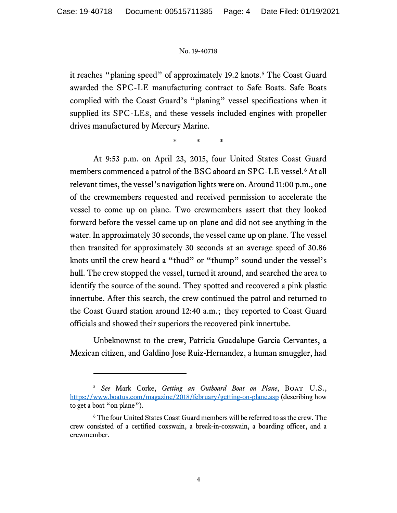it reaches "planing speed" of approximately 19.2 knots.<sup>[5](#page-3-0)</sup> The Coast Guard awarded the SPC-LE manufacturing contract to Safe Boats. Safe Boats complied with the Coast Guard's "planing" vessel specifications when it supplied its SPC-LEs, and these vessels included engines with propeller drives manufactured by Mercury Marine.

\* \* \*

At 9:53 p.m. on April 23, 2015, four United States Coast Guard members commenced a patrol of the BSC aboard an SPC-LE vessel. [6](#page-3-1) At all relevant times, the vessel's navigation lights were on. Around 11:00 p.m., one of the crewmembers requested and received permission to accelerate the vessel to come up on plane. Two crewmembers assert that they looked forward before the vessel came up on plane and did not see anything in the water. In approximately 30 seconds, the vessel came up on plane. The vessel then transited for approximately 30 seconds at an average speed of 30.86 knots until the crew heard a "thud" or "thump" sound under the vessel's hull. The crew stopped the vessel, turned it around, and searched the area to identify the source of the sound. They spotted and recovered a pink plastic innertube. After this search, the crew continued the patrol and returned to the Coast Guard station around 12:40 a.m.; they reported to Coast Guard officials and showed their superiors the recovered pink innertube.

Unbeknownst to the crew, Patricia Guadalupe Garcia Cervantes, a Mexican citizen, and Galdino Jose Ruiz-Hernandez, a human smuggler, had

<span id="page-3-0"></span><sup>5</sup> *See* Mark Corke, *Getting an Outboard Boat on Plane*, Boat U.S., <https://www.boatus.com/magazine/2018/february/getting-on-plane.asp> (describing how to get a boat "on plane").

<span id="page-3-1"></span><sup>6</sup> The four United States Coast Guard members will be referred to as the crew. The crew consisted of a certified coxswain, a break-in-coxswain, a boarding officer, and a crewmember.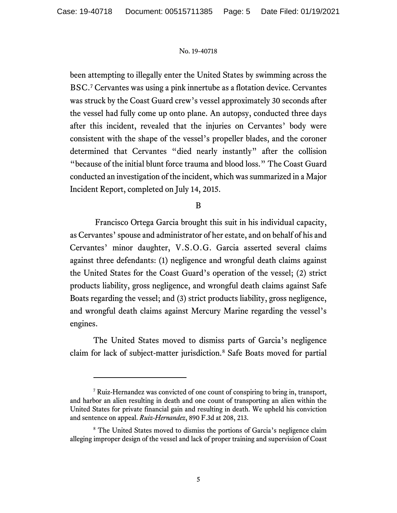been attempting to illegally enter the United States by swimming across the BSC. [7](#page-4-0) Cervantes was using a pink innertube as a flotation device. Cervantes was struck by the Coast Guard crew's vessel approximately 30 seconds after the vessel had fully come up onto plane. An autopsy, conducted three days after this incident, revealed that the injuries on Cervantes' body were consistent with the shape of the vessel's propeller blades, and the coroner determined that Cervantes "died nearly instantly" after the collision "because of the initial blunt force trauma and blood loss." The Coast Guard conducted an investigation of the incident, which was summarized in a Major Incident Report, completed on July 14, 2015.

## B

Francisco Ortega Garcia brought this suit in his individual capacity, as Cervantes'spouse and administrator of her estate, and on behalf of his and Cervantes' minor daughter, V.S.O.G. Garcia asserted several claims against three defendants: (1) negligence and wrongful death claims against the United States for the Coast Guard's operation of the vessel; (2) strict products liability, gross negligence, and wrongful death claims against Safe Boats regarding the vessel; and (3) strict products liability, gross negligence, and wrongful death claims against Mercury Marine regarding the vessel's engines.

The United States moved to dismiss parts of Garcia's negligence claim for lack of subject-matter jurisdiction. [8](#page-4-1) Safe Boats moved for partial

<span id="page-4-0"></span><sup>7</sup> Ruiz-Hernandez was convicted of one count of conspiring to bring in, transport, and harbor an alien resulting in death and one count of transporting an alien within the United States for private financial gain and resulting in death. We upheld his conviction and sentence on appeal. *Ruiz-Hernandez*, 890 F.3d at 208, 213.

<span id="page-4-1"></span><sup>&</sup>lt;sup>8</sup> The United States moved to dismiss the portions of Garcia's negligence claim alleging improper design of the vessel and lack of proper training and supervision of Coast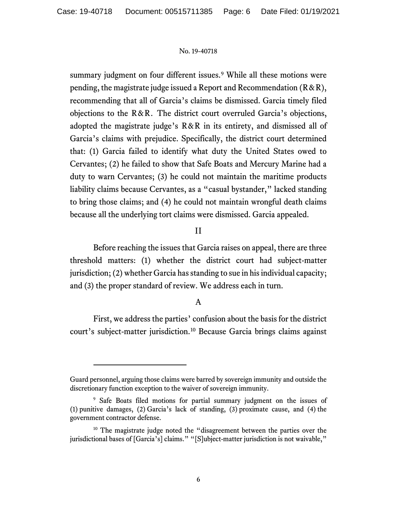summary judgment on four different issues. [9](#page-5-0) While all these motions were pending, the magistrate judge issued a Report and Recommendation  $(R & R)$ , recommending that all of Garcia's claims be dismissed. Garcia timely filed objections to the R&R. The district court overruled Garcia's objections, adopted the magistrate judge's R&R in its entirety, and dismissed all of Garcia's claims with prejudice. Specifically, the district court determined that: (1) Garcia failed to identify what duty the United States owed to Cervantes; (2) he failed to show that Safe Boats and Mercury Marine had a duty to warn Cervantes; (3) he could not maintain the maritime products liability claims because Cervantes, as a "casual bystander," lacked standing to bring those claims; and (4) he could not maintain wrongful death claims because all the underlying tort claims were dismissed. Garcia appealed.

## II

Before reaching the issues that Garcia raises on appeal, there are three threshold matters: (1) whether the district court had subject-matter jurisdiction; (2) whether Garcia has standing to sue in his individual capacity; and (3) the proper standard of review. We address each in turn.

## A

First, we address the parties' confusion about the basis for the district court's subject-matter jurisdiction. [10](#page-5-1) Because Garcia brings claims against

Guard personnel, arguing those claims were barred by sovereign immunity and outside the discretionary function exception to the waiver of sovereign immunity.

<span id="page-5-0"></span><sup>&</sup>lt;sup>9</sup> Safe Boats filed motions for partial summary judgment on the issues of (1) punitive damages, (2) Garcia's lack of standing, (3) proximate cause, and (4) the government contractor defense.

<span id="page-5-1"></span><sup>&</sup>lt;sup>10</sup> The magistrate judge noted the "disagreement between the parties over the jurisdictional bases of [Garcia's] claims." "[S]ubject-matter jurisdiction is not waivable,"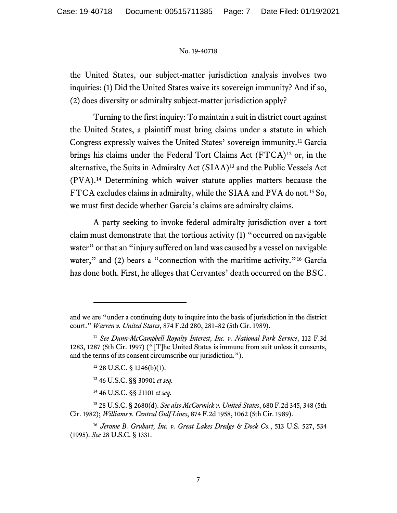the United States, our subject-matter jurisdiction analysis involves two inquiries: (1) Did the United States waive its sovereign immunity? And if so, (2) does diversity or admiralty subject-matter jurisdiction apply?

Turning to the first inquiry: To maintain a suit in district court against the United States, a plaintiff must bring claims under a statute in which Congress expressly waives the United States' sovereign immunity.[11](#page-6-0) Garcia brings his claims under the Federal Tort Claims Act (FTCA)<sup>[12](#page-6-1)</sup> or, in the alternative, the Suits in Admiralty Act (SIAA)[13](#page-6-2) and the Public Vessels Act (PVA).[14](#page-6-3) Determining which waiver statute applies matters because the FTCA excludes claims in admiralty, while the SIAA and PVA do not. [15](#page-6-4) So, we must first decide whether Garcia's claims are admiralty claims.

A party seeking to invoke federal admiralty jurisdiction over a tort claim must demonstrate that the tortious activity (1) "occurred on navigable water" or that an "injury suffered on land was caused by a vessel on navigable water," and (2) bears a "connection with the maritime activity."<sup>[16](#page-6-5)</sup> Garcia has done both. First, he alleges that Cervantes' death occurred on the BSC.

<sup>13</sup> 46 U.S.C. §§ 30901 *et seq.* 

<sup>14</sup> 46 U.S.C. §§ 31101 *et seq.* 

and we are "under a continuing duty to inquire into the basis of jurisdiction in the district court." *Warren v. United States*, 874 F.2d 280, 281–82 (5th Cir. 1989).

<span id="page-6-1"></span><span id="page-6-0"></span><sup>11</sup> *See Dunn-McCampbell Royalty Interest, Inc. v. National Park Service*, 112 F.3d 1283, 1287 (5th Cir. 1997) ("[T]he United States is immune from suit unless it consents, and the terms of its consent circumscribe our jurisdiction.").

 $12$  28 U.S.C. § 1346(b)(1).

<span id="page-6-4"></span><span id="page-6-3"></span><span id="page-6-2"></span><sup>15</sup> 28 U.S.C. § 2680(d). *See also McCormick v. United States*, 680 F.2d 345, 348 (5th Cir. 1982); *Williams v. Central Gulf Lines*, 874 F.2d 1958, 1062 (5th Cir. 1989).

<span id="page-6-5"></span><sup>16</sup> *Jerome B. Grubart, Inc. v. Great Lakes Dredge & Dock Co.*, 513 U.S. 527, 534 (1995). *See* 28 U.S.C. § 1331.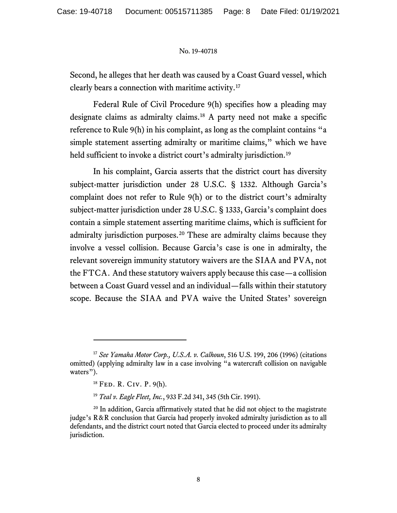Second, he alleges that her death was caused by a Coast Guard vessel, which clearly bears a connection with maritime activity.[17](#page-7-0)

Federal Rule of Civil Procedure 9(h) specifies how a pleading may designate claims as admiralty claims. [18](#page-7-1) A party need not make a specific reference to Rule 9(h) in his complaint, as long as the complaint contains "a simple statement asserting admiralty or maritime claims," which we have held sufficient to invoke a district court's admiralty jurisdiction.<sup>[19](#page-7-2)</sup>

In his complaint, Garcia asserts that the district court has diversity subject-matter jurisdiction under 28 U.S.C. § 1332. Although Garcia's complaint does not refer to Rule 9(h) or to the district court's admiralty subject-matter jurisdiction under 28 U.S.C. § 1333, Garcia's complaint does contain a simple statement asserting maritime claims, which is sufficient for admiralty jurisdiction purposes. [20](#page-7-3) These are admiralty claims because they involve a vessel collision. Because Garcia's case is one in admiralty, the relevant sovereign immunity statutory waivers are the SIAA and PVA, not the FTCA. And these statutory waivers apply because this case—a collision between a Coast Guard vessel and an individual—falls within their statutory scope. Because the SIAA and PVA waive the United States' sovereign

<span id="page-7-0"></span><sup>17</sup> *See Yamaha Motor Corp., U.S.A. v. Calhoun*, 516 U.S. 199, 206 (1996) (citations omitted) (applying admiralty law in a case involving "a watercraft collision on navigable waters").

<sup>18</sup> Fed. R. Civ. P. 9(h).

<sup>19</sup> *Teal v. Eagle Fleet, Inc.*, 933 F.2d 341, 345 (5th Cir. 1991).

<span id="page-7-3"></span><span id="page-7-2"></span><span id="page-7-1"></span><sup>&</sup>lt;sup>20</sup> In addition, Garcia affirmatively stated that he did not object to the magistrate judge's R&R conclusion that Garcia had properly invoked admiralty jurisdiction as to all defendants, and the district court noted that Garcia elected to proceed under its admiralty jurisdiction.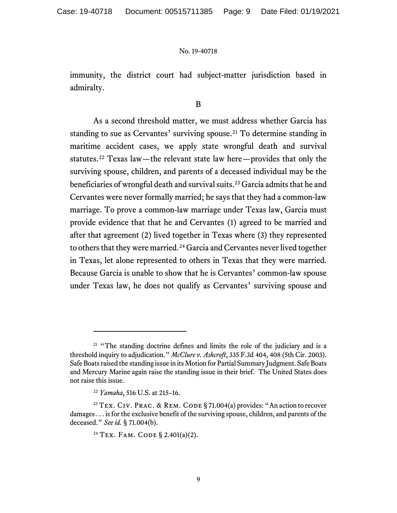immunity, the district court had subject-matter jurisdiction based in admiralty.

## B

As a second threshold matter, we must address whether Garcia has standing to sue as Cervantes' surviving spouse.<sup>[21](#page-8-0)</sup> To determine standing in maritime accident cases, we apply state wrongful death and survival statutes.[22](#page-8-1) Texas law—the relevant state law here—provides that only the surviving spouse, children, and parents of a deceased individual may be the beneficiaries of wrongful death and survival suits.[23](#page-8-2) Garcia admits that he and Cervantes were never formally married; he says that they had a common-law marriage. To prove a common-law marriage under Texas law, Garcia must provide evidence that that he and Cervantes (1) agreed to be married and after that agreement (2) lived together in Texas where (3) they represented to others that they were married.<sup>[24](#page-8-3)</sup> Garcia and Cervantes never lived together in Texas, let alone represented to others in Texas that they were married. Because Garcia is unable to show that he is Cervantes' common-law spouse under Texas law, he does not qualify as Cervantes' surviving spouse and

<span id="page-8-0"></span> $21$  "The standing doctrine defines and limits the role of the judiciary and is a threshold inquiry to adjudication." *McClure v. Ashcroft*, 335 F.3d 404, 408 (5th Cir. 2003). Safe Boats raised the standing issue in its Motion for Partial Summary Judgment. Safe Boats and Mercury Marine again raise the standing issue in their brief. The United States does not raise this issue.

<sup>22</sup> *Yamaha*, 516 U.S. at 215–16.

<span id="page-8-3"></span><span id="page-8-2"></span><span id="page-8-1"></span><sup>&</sup>lt;sup>23</sup> TEX. CIV. PRAC. & REM. CODE § 71.004(a) provides: "An action to recover damages . . . is for the exclusive benefit of the surviving spouse, children, and parents of the deceased." *See id.* § 71.004(b).

<sup>&</sup>lt;sup>24</sup> TEX. FAM. CODE § 2.401(a)(2).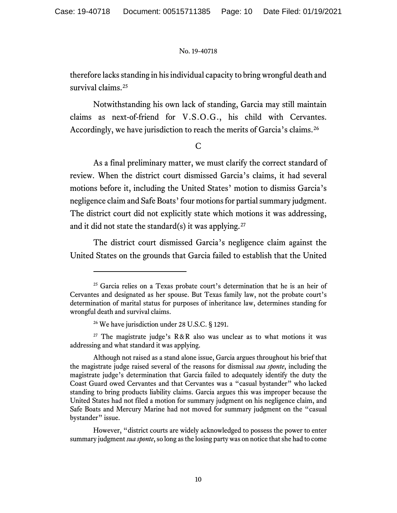therefore lacks standing in his individual capacity to bring wrongful death and survival claims.<sup>[25](#page-9-0)</sup>

Notwithstanding his own lack of standing, Garcia may still maintain claims as next-of-friend for V.S.O.G., his child with Cervantes. Accordingly, we have jurisdiction to reach the merits of Garcia's claims.<sup>[26](#page-9-1)</sup>

## C

As a final preliminary matter, we must clarify the correct standard of review. When the district court dismissed Garcia's claims, it had several motions before it, including the United States' motion to dismiss Garcia's negligence claim and Safe Boats' four motions for partial summary judgment. The district court did not explicitly state which motions it was addressing, and it did not state the standard(s) it was applying.<sup>[27](#page-9-2)</sup>

The district court dismissed Garcia's negligence claim against the United States on the grounds that Garcia failed to establish that the United

<span id="page-9-2"></span><span id="page-9-1"></span><sup>27</sup> The magistrate judge's  $R & R$  also was unclear as to what motions it was addressing and what standard it was applying.

However, "district courts are widely acknowledged to possess the power to enter summary judgment *sua sponte*, so long as the losing party was on notice that she had to come

<span id="page-9-0"></span> $25$  Garcia relies on a Texas probate court's determination that he is an heir of Cervantes and designated as her spouse. But Texas family law, not the probate court's determination of marital status for purposes of inheritance law, determines standing for wrongful death and survival claims.

<sup>26</sup> We have jurisdiction under 28 U.S.C. § 1291.

Although not raised as a stand alone issue, Garcia argues throughout his brief that the magistrate judge raised several of the reasons for dismissal *sua sponte*, including the magistrate judge's determination that Garcia failed to adequately identify the duty the Coast Guard owed Cervantes and that Cervantes was a "casual bystander" who lacked standing to bring products liability claims. Garcia argues this was improper because the United States had not filed a motion for summary judgment on his negligence claim, and Safe Boats and Mercury Marine had not moved for summary judgment on the "casual bystander" issue.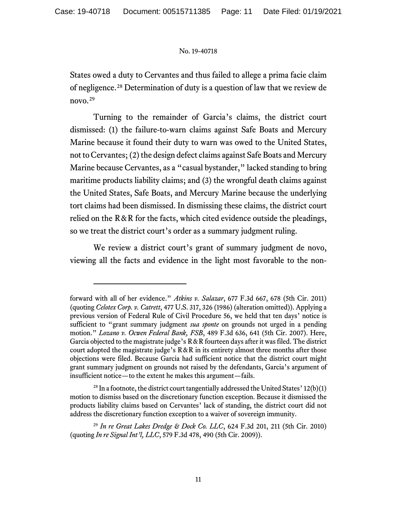States owed a duty to Cervantes and thus failed to allege a prima facie claim of negligence.[28](#page-10-0) Determination of duty is a question of law that we review de novo.[29](#page-10-1)

Turning to the remainder of Garcia's claims, the district court dismissed: (1) the failure-to-warn claims against Safe Boats and Mercury Marine because it found their duty to warn was owed to the United States, not to Cervantes;(2) the design defect claims against Safe Boats and Mercury Marine because Cervantes, as a "casual bystander," lacked standing to bring maritime products liability claims; and (3) the wrongful death claims against the United States, Safe Boats, and Mercury Marine because the underlying tort claims had been dismissed. In dismissing these claims, the district court relied on the  $R & R$  for the facts, which cited evidence outside the pleadings, so we treat the district court's order as a summary judgment ruling.

We review a district court's grant of summary judgment de novo, viewing all the facts and evidence in the light most favorable to the non-

forward with all of her evidence." *Atkins v. Salazar*, 677 F.3d 667, 678 (5th Cir. 2011) (quoting *Celotex Corp. v. Catrett*, 477 U.S. 317, 326 (1986) (alteration omitted)). Applying a previous version of Federal Rule of Civil Procedure 56, we held that ten days' notice is sufficient to "grant summary judgment *sua sponte* on grounds not urged in a pending motion." *Lozano v. Ocwen Federal Bank, FSB*, 489 F.3d 636, 641 (5th Cir. 2007). Here, Garcia objected to the magistrate judge's  $R \& R$  fourteen days after it was filed. The district court adopted the magistrate judge's  $R & R$  in its entirety almost three months after those objections were filed. Because Garcia had sufficient notice that the district court might grant summary judgment on grounds not raised by the defendants, Garcia's argument of insufficient notice—to the extent he makes this argument—fails.

<span id="page-10-0"></span> $^{28}$  In a footnote, the district court tangentially addressed the United States' 12(b)(1) motion to dismiss based on the discretionary function exception. Because it dismissed the products liability claims based on Cervantes' lack of standing, the district court did not address the discretionary function exception to a waiver of sovereign immunity.

<span id="page-10-1"></span><sup>29</sup> *In re Great Lakes Dredge & Dock Co. LLC*, 624 F.3d 201, 211 (5th Cir. 2010) (quoting *In re Signal Int'l, LLC*, 579 F.3d 478, 490 (5th Cir. 2009)).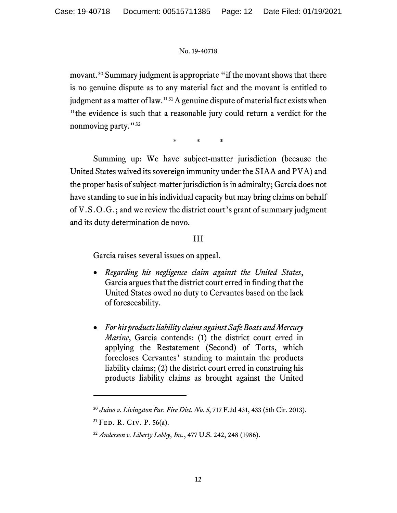movant.[30](#page-11-0) Summary judgment is appropriate "if the movant shows that there is no genuine dispute as to any material fact and the movant is entitled to judgment as a matter of law."<sup>[31](#page-11-1)</sup> A genuine dispute of material fact exists when "the evidence is such that a reasonable jury could return a verdict for the nonmoving party."<sup>[32](#page-11-2)</sup>

\* \* \*

Summing up: We have subject-matter jurisdiction (because the United States waived its sovereign immunity under the SIAA and PVA) and the proper basis of subject-matter jurisdiction is in admiralty; Garcia does not have standing to sue in his individual capacity but may bring claims on behalf of V.S.O.G.; and we review the district court's grant of summary judgment and its duty determination de novo.

## III

Garcia raises several issues on appeal.

- *Regarding his negligence claim against the United States*, Garcia argues that the district court erred in finding that the United States owed no duty to Cervantes based on the lack of foreseeability.
- *For his products liability claims against Safe Boats and Mercury Marine*, Garcia contends: (1) the district court erred in applying the Restatement (Second) of Torts, which forecloses Cervantes' standing to maintain the products liability claims; (2) the district court erred in construing his products liability claims as brought against the United

<span id="page-11-0"></span><sup>30</sup> *Juino v. Livingston Par. Fire Dist. No. 5*, 717 F.3d 431, 433 (5th Cir. 2013).

<span id="page-11-1"></span><sup>&</sup>lt;sup>31</sup> FED. R. CIV. P. 56(a).

<span id="page-11-2"></span><sup>32</sup> *Anderson v. Liberty Lobby, Inc.*, 477 U.S. 242, 248 (1986).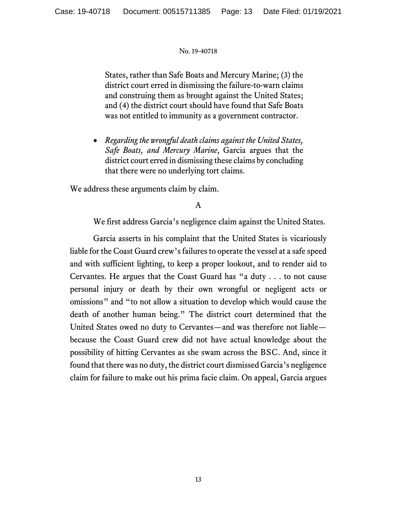States, rather than Safe Boats and Mercury Marine; (3) the district court erred in dismissing the failure-to-warn claims and construing them as brought against the United States; and (4) the district court should have found that Safe Boats was not entitled to immunity as a government contractor.

• *Regarding the wrongful death claims against the United States, Safe Boats, and Mercury Marine*, Garcia argues that the district court erred in dismissing these claims by concluding that there were no underlying tort claims.

We address these arguments claim by claim.

## A

We first address Garcia's negligence claim against the United States.

Garcia asserts in his complaint that the United States is vicariously liable for the Coast Guard crew's failures to operate the vessel at a safe speed and with sufficient lighting, to keep a proper lookout, and to render aid to Cervantes. He argues that the Coast Guard has "a duty . . . to not cause personal injury or death by their own wrongful or negligent acts or omissions" and "to not allow a situation to develop which would cause the death of another human being." The district court determined that the United States owed no duty to Cervantes—and was therefore not liable because the Coast Guard crew did not have actual knowledge about the possibility of hitting Cervantes as she swam across the BSC. And, since it found that there was no duty, the district court dismissed Garcia's negligence claim for failure to make out his prima facie claim. On appeal, Garcia argues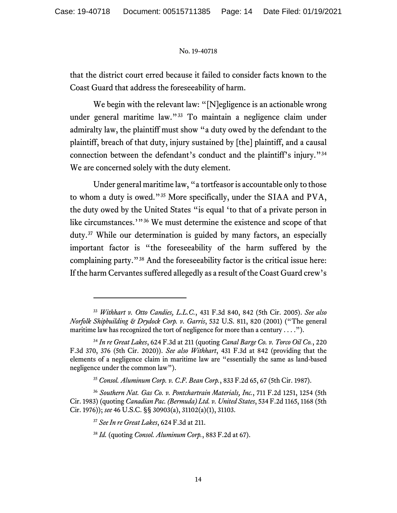that the district court erred because it failed to consider facts known to the Coast Guard that address the foreseeability of harm.

We begin with the relevant law: "[N]egligence is an actionable wrong under general maritime law."[33](#page-13-0) To maintain a negligence claim under admiralty law, the plaintiff must show "a duty owed by the defendant to the plaintiff, breach of that duty, injury sustained by [the] plaintiff, and a causal connection between the defendant's conduct and the plaintiff's injury."[34](#page-13-1) We are concerned solely with the duty element.

Under general maritime law, "a tortfeasor is accountable only to those to whom a duty is owed."[35](#page-13-2) More specifically, under the SIAA and PVA, the duty owed by the United States "is equal 'to that of a private person in like circumstances.'"<sup>[36](#page-13-3)</sup> We must determine the existence and scope of that duty.[37](#page-13-4) While our determination is guided by many factors, an especially important factor is "the foreseeability of the harm suffered by the complaining party."[38](#page-13-5) And the foreseeability factor is the critical issue here: If the harm Cervantes suffered allegedly as a result of the Coast Guard crew's

<span id="page-13-0"></span><sup>33</sup> *Withhart v. Otto Candies, L.L.C.*, 431 F.3d 840, 842 (5th Cir. 2005). *See also Norfolk Shipbuilding & Drydock Corp. v. Garris*, 532 U.S. 811, 820 (2001) ("The general maritime law has recognized the tort of negligence for more than a century . . . .").

<span id="page-13-1"></span><sup>34</sup> *In re Great Lakes*, 624 F.3d at 211 (quoting *Canal Barge Co. v. Torco Oil Co.*, 220 F.3d 370, 376 (5th Cir. 2020)). *See also Withhart*, 431 F.3d at 842 (providing that the elements of a negligence claim in maritime law are "essentially the same as land-based negligence under the common law").

<sup>35</sup> *Consol. Aluminum Corp. v. C.F. Bean Corp.*, 833 F.2d 65, 67 (5th Cir. 1987).

<span id="page-13-5"></span><span id="page-13-4"></span><span id="page-13-3"></span><span id="page-13-2"></span><sup>36</sup> *Southern Nat. Gas Co. v. Pontchartrain Materials, Inc.*, 711 F.2d 1251, 1254 (5th Cir. 1983) (quoting *Canadian Pac. (Bermuda) Ltd. v. United States*, 534 F.2d 1165, 1168 (5th Cir. 1976)); *see* 46 U.S.C. §§ 30903(a), 31102(a)(1), 31103.

<sup>37</sup> *See In re Great Lakes*, 624 F.3d at 211.

<sup>38</sup> *Id.* (quoting *Consol. Aluminum Corp.*, 883 F.2d at 67).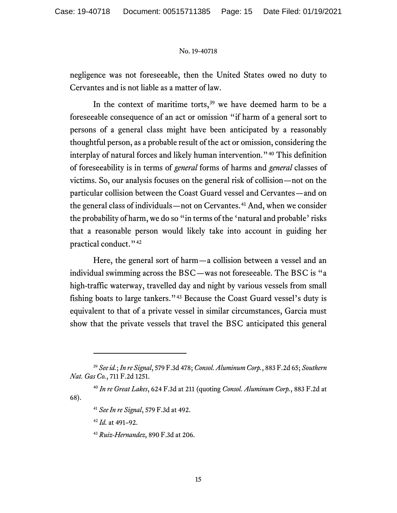negligence was not foreseeable, then the United States owed no duty to Cervantes and is not liable as a matter of law.

In the context of maritime torts, $39$  we have deemed harm to be a foreseeable consequence of an act or omission "if harm of a general sort to persons of a general class might have been anticipated by a reasonably thoughtful person, as a probable result of the act or omission, considering the interplay of natural forces and likely human intervention."[40](#page-14-1) This definition of foreseeability is in terms of *general* forms of harms and *general* classes of victims. So, our analysis focuses on the general risk of collision—not on the particular collision between the Coast Guard vessel and Cervantes—and on the general class of individuals—not on Cervantes.<sup>[41](#page-14-2)</sup> And, when we consider the probability of harm, we do so "in terms of the 'natural and probable' risks that a reasonable person would likely take into account in guiding her practical conduct."<sup>[42](#page-14-3)</sup>

Here, the general sort of harm—a collision between a vessel and an individual swimming across the BSC—was not foreseeable. The BSC is "a high-traffic waterway, travelled day and night by various vessels from small fishing boats to large tankers."<sup>[43](#page-14-4)</sup> Because the Coast Guard vessel's duty is equivalent to that of a private vessel in similar circumstances, Garcia must show that the private vessels that travel the BSC anticipated this general

<span id="page-14-0"></span><sup>39</sup> *See id.*; *In re Signal*, 579 F.3d 478; *Consol. Aluminum Corp.*, 883 F.2d 65; *Southern Nat. Gas Co.*, 711 F.2d 1251.

<span id="page-14-4"></span><span id="page-14-3"></span><span id="page-14-2"></span><span id="page-14-1"></span><sup>40</sup> *In re Great Lakes*, 624 F.3d at 211 (quoting *Consol. Aluminum Corp.*, 883 F.2d at 68).

<sup>41</sup> *See In re Signal*, 579 F.3d at 492.

<sup>42</sup> *Id.* at 491–92.

<sup>43</sup> *Ruiz-Hernandez*, 890 F.3d at 206.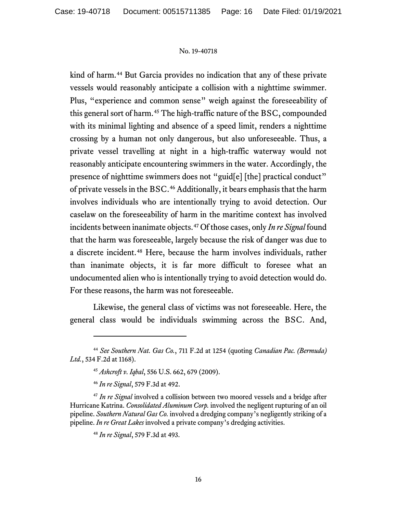kind of harm.<sup>[44](#page-15-0)</sup> But Garcia provides no indication that any of these private vessels would reasonably anticipate a collision with a nighttime swimmer. Plus, "experience and common sense" weigh against the foreseeability of this general sort of harm. [45](#page-15-1) The high-traffic nature of the BSC, compounded with its minimal lighting and absence of a speed limit, renders a nighttime crossing by a human not only dangerous, but also unforeseeable. Thus, a private vessel travelling at night in a high-traffic waterway would not reasonably anticipate encountering swimmers in the water. Accordingly, the presence of nighttime swimmers does not "guid[e] [the] practical conduct" of private vessels in the BSC. [46](#page-15-2) Additionally, it bears emphasis that the harm involves individuals who are intentionally trying to avoid detection. Our caselaw on the foreseeability of harm in the maritime context has involved incidents between inanimate objects.[47](#page-15-3) Of those cases, only *In re Signal* found that the harm was foreseeable, largely because the risk of danger was due to a discrete incident.[48](#page-15-4) Here, because the harm involves individuals, rather than inanimate objects, it is far more difficult to foresee what an undocumented alien who is intentionally trying to avoid detection would do. For these reasons, the harm was not foreseeable.

Likewise, the general class of victims was not foreseeable. Here, the general class would be individuals swimming across the BSC. And,

<span id="page-15-1"></span><span id="page-15-0"></span><sup>44</sup> *See Southern Nat. Gas Co.*, 711 F.2d at 1254 (quoting *Canadian Pac. (Bermuda) Ltd.*, 534 F.2d at 1168).

<sup>45</sup> *Ashcroft v. Iqbal*, 556 U.S. 662, 679 (2009).

<sup>46</sup> *In re Signal*, 579 F.3d at 492.

<span id="page-15-4"></span><span id="page-15-3"></span><span id="page-15-2"></span><sup>&</sup>lt;sup>47</sup> In re Signal involved a collision between two moored vessels and a bridge after Hurricane Katrina. *Consolidated Aluminum Corp.* involved the negligent rupturing of an oil pipeline. *Southern Natural Gas Co.* involved a dredging company's negligently striking of a pipeline. *In re Great Lakes* involved a private company's dredging activities.

<sup>48</sup> *In re Signal*, 579 F.3d at 493.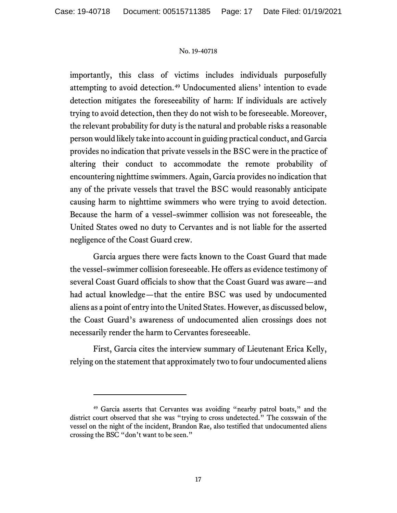importantly, this class of victims includes individuals purposefully attempting to avoid detection.[49](#page-16-0) Undocumented aliens' intention to evade detection mitigates the foreseeability of harm: If individuals are actively trying to avoid detection, then they do not wish to be foreseeable. Moreover, the relevant probability for duty is the natural and probable risks a reasonable person would likely take into account in guiding practical conduct, and Garcia provides no indication that private vessels in the BSC were in the practice of altering their conduct to accommodate the remote probability of encountering nighttime swimmers. Again, Garcia provides no indication that any of the private vessels that travel the BSC would reasonably anticipate causing harm to nighttime swimmers who were trying to avoid detection. Because the harm of a vessel–swimmer collision was not foreseeable, the United States owed no duty to Cervantes and is not liable for the asserted negligence of the Coast Guard crew.

Garcia argues there were facts known to the Coast Guard that made the vessel–swimmer collision foreseeable. He offers as evidence testimony of several Coast Guard officials to show that the Coast Guard was aware—and had actual knowledge—that the entire BSC was used by undocumented aliens as a point of entry into the United States. However, as discussed below, the Coast Guard's awareness of undocumented alien crossings does not necessarily render the harm to Cervantes foreseeable.

First, Garcia cites the interview summary of Lieutenant Erica Kelly, relying on the statement that approximately two to four undocumented aliens

<span id="page-16-0"></span><sup>49</sup> Garcia asserts that Cervantes was avoiding "nearby patrol boats," and the district court observed that she was "trying to cross undetected." The coxswain of the vessel on the night of the incident, Brandon Rae, also testified that undocumented aliens crossing the BSC "don't want to be seen."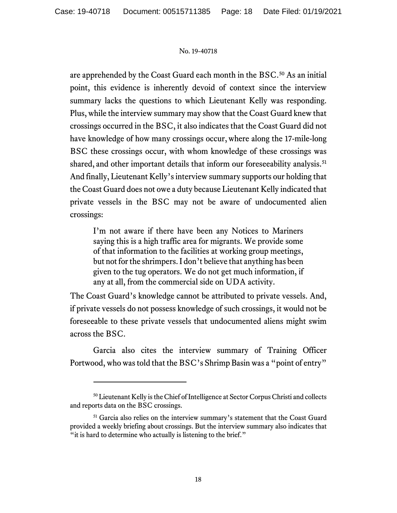are apprehended by the Coast Guard each month in the BSC. [50](#page-17-0) As an initial point, this evidence is inherently devoid of context since the interview summary lacks the questions to which Lieutenant Kelly was responding. Plus, while the interview summary may show that the Coast Guard knew that crossings occurred in the BSC, it also indicates that the Coast Guard did not have knowledge of how many crossings occur, where along the 17-mile-long BSC these crossings occur, with whom knowledge of these crossings was shared, and other important details that inform our foreseeability analysis.<sup>[51](#page-17-1)</sup> And finally, Lieutenant Kelly's interview summary supports our holding that the Coast Guard does not owe a duty because Lieutenant Kelly indicated that private vessels in the BSC may not be aware of undocumented alien crossings:

I'm not aware if there have been any Notices to Mariners saying this is a high traffic area for migrants. We provide some of that information to the facilities at working group meetings, but not for the shrimpers. I don't believe that anything has been given to the tug operators. We do not get much information, if any at all, from the commercial side on UDA activity.

The Coast Guard's knowledge cannot be attributed to private vessels. And, if private vessels do not possess knowledge of such crossings, it would not be foreseeable to these private vessels that undocumented aliens might swim across the BSC.

Garcia also cites the interview summary of Training Officer Portwood, who was told that the BSC's Shrimp Basin was a "point of entry"

<span id="page-17-0"></span><sup>50</sup> Lieutenant Kelly is the Chief of Intelligence at Sector Corpus Christi and collects and reports data on the BSC crossings.

<span id="page-17-1"></span><sup>51</sup> Garcia also relies on the interview summary's statement that the Coast Guard provided a weekly briefing about crossings. But the interview summary also indicates that "it is hard to determine who actually is listening to the brief."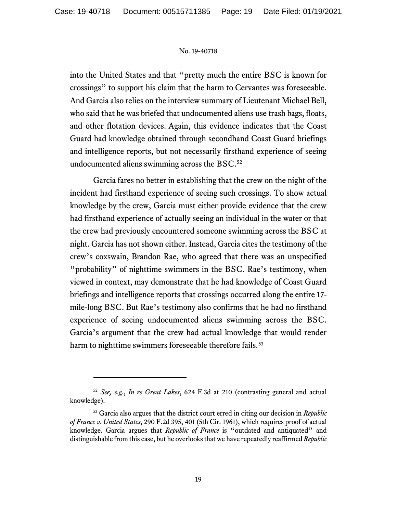into the United States and that "pretty much the entire BSC is known for crossings" to support his claim that the harm to Cervantes was foreseeable. And Garcia also relies on the interview summary of Lieutenant Michael Bell, who said that he was briefed that undocumented aliens use trash bags, floats, and other flotation devices. Again, this evidence indicates that the Coast Guard had knowledge obtained through secondhand Coast Guard briefings and intelligence reports, but not necessarily firsthand experience of seeing undocumented aliens swimming across the BSC. [52](#page-18-0)

Garcia fares no better in establishing that the crew on the night of the incident had firsthand experience of seeing such crossings. To show actual knowledge by the crew, Garcia must either provide evidence that the crew had firsthand experience of actually seeing an individual in the water or that the crew had previously encountered someone swimming across the BSC at night. Garcia has not shown either. Instead, Garcia cites the testimony of the crew's coxswain, Brandon Rae, who agreed that there was an unspecified "probability" of nighttime swimmers in the BSC. Rae's testimony, when viewed in context, may demonstrate that he had knowledge of Coast Guard briefings and intelligence reports that crossings occurred along the entire 17 mile-long BSC. But Rae's testimony also confirms that he had no firsthand experience of seeing undocumented aliens swimming across the BSC. Garcia's argument that the crew had actual knowledge that would render harm to nighttime swimmers foreseeable therefore fails.<sup>[53](#page-18-1)</sup>

<span id="page-18-0"></span><sup>52</sup> *See, e.g.*, *In re Great Lakes*, 624 F.3d at 210 (contrasting general and actual knowledge).

<span id="page-18-1"></span><sup>53</sup> Garcia also argues that the district court erred in citing our decision in *Republic of France v. United States*, 290 F.2d 395, 401 (5th Cir. 1961), which requires proof of actual knowledge. Garcia argues that *Republic of France* is "outdated and antiquated" and distinguishable from this case, but he overlooks that we have repeatedly reaffirmed *Republic*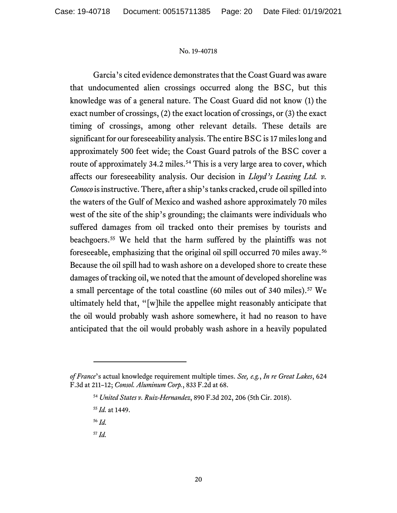Garcia's cited evidence demonstrates that the Coast Guard was aware that undocumented alien crossings occurred along the BSC, but this knowledge was of a general nature. The Coast Guard did not know (1) the exact number of crossings, (2) the exact location of crossings, or (3) the exact timing of crossings, among other relevant details. These details are significant for our foreseeability analysis. The entire BSC is 17 miles long and approximately 500 feet wide; the Coast Guard patrols of the BSC cover a route of approximately 34.2 miles.<sup>[54](#page-19-0)</sup> This is a very large area to cover, which affects our foreseeability analysis. Our decision in *Lloyd's Leasing Ltd. v. Conoco* is instructive. There, after a ship's tanks cracked, crude oil spilled into the waters of the Gulf of Mexico and washed ashore approximately 70 miles west of the site of the ship's grounding; the claimants were individuals who suffered damages from oil tracked onto their premises by tourists and beachgoers.[55](#page-19-1) We held that the harm suffered by the plaintiffs was not foreseeable, emphasizing that the original oil spill occurred 70 miles away.[56](#page-19-2) Because the oil spill had to wash ashore on a developed shore to create these damages of tracking oil, we noted that the amount of developed shoreline was a small percentage of the total coastline (60 miles out of 340 miles).<sup>[57](#page-19-3)</sup> We ultimately held that, "[w]hile the appellee might reasonably anticipate that the oil would probably wash ashore somewhere, it had no reason to have anticipated that the oil would probably wash ashore in a heavily populated

<span id="page-19-3"></span><span id="page-19-2"></span><span id="page-19-1"></span><span id="page-19-0"></span>*of France*'s actual knowledge requirement multiple times. *See, e.g.*, *In re Great Lakes*, 624 F.3d at 211–12; *Consol. Aluminum Corp.*, 833 F.2d at 68.

<sup>54</sup> *United States v. Ruiz-Hernandez*, 890 F.3d 202, 206 (5th Cir. 2018).

<sup>55</sup> *Id.* at 1449.

<sup>56</sup> *Id.*

<sup>57</sup> *Id.*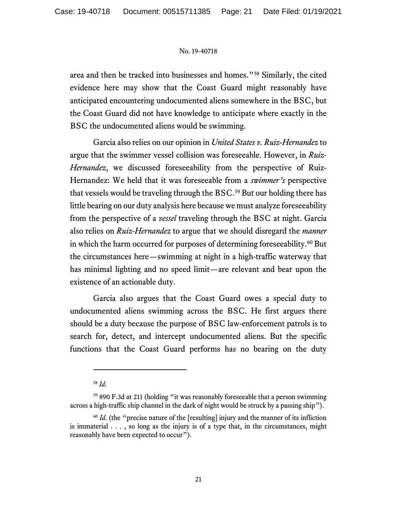area and then be tracked into businesses and homes."[58](#page-20-0) Similarly, the cited evidence here may show that the Coast Guard might reasonably have anticipated encountering undocumented aliens somewhere in the BSC, but the Coast Guard did not have knowledge to anticipate where exactly in the BSC the undocumented aliens would be swimming.

Garcia also relies on our opinion in *United States v. Ruiz-Hernandez* to argue that the swimmer vessel collision was foreseeable. However, in *Ruiz-Hernandez*, we discussed foreseeability from the perspective of Ruiz-Hernandez: We held that it was foreseeable from a *swimmer's* perspective that vessels would be traveling through the BSC. [59](#page-20-1) But our holding there has little bearing on our duty analysis here because we must analyze foreseeability from the perspective of a *vessel* traveling through the BSC at night. Garcia also relies on *Ruiz-Hernandez* to argue that we should disregard the *manner*  in which the harm occurred for purposes of determining foreseeability.<sup>[60](#page-20-2)</sup> But the circumstances here—swimming at night in a high-traffic waterway that has minimal lighting and no speed limit—are relevant and bear upon the existence of an actionable duty.

Garcia also argues that the Coast Guard owes a special duty to undocumented aliens swimming across the BSC. He first argues there should be a duty because the purpose of BSC law-enforcement patrols is to search for, detect, and intercept undocumented aliens. But the specific functions that the Coast Guard performs has no bearing on the duty

<sup>58</sup> *Id.*

<span id="page-20-1"></span><span id="page-20-0"></span><sup>59</sup> 890 F.3d at 211 (holding "it was reasonably foreseeable that a person swimming across a high-traffic ship channel in the dark of night would be struck by a passing ship").

<span id="page-20-2"></span><sup>&</sup>lt;sup>60</sup> *Id.* (the "precise nature of the [resulting] injury and the manner of its infliction is immaterial  $\ldots$ , so long as the injury is of a type that, in the circumstances, might reasonably have been expected to occur").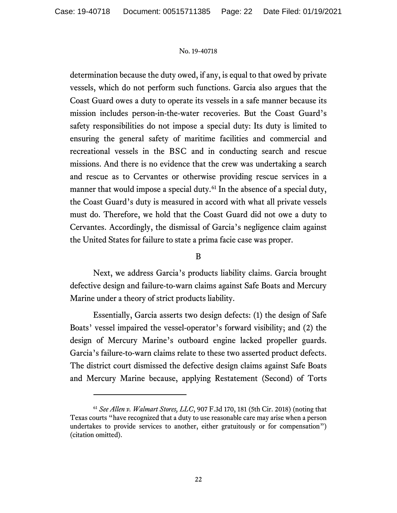determination because the duty owed, if any, is equal to that owed by private vessels, which do not perform such functions. Garcia also argues that the Coast Guard owes a duty to operate its vessels in a safe manner because its mission includes person-in-the-water recoveries. But the Coast Guard's safety responsibilities do not impose a special duty: Its duty is limited to ensuring the general safety of maritime facilities and commercial and recreational vessels in the BSC and in conducting search and rescue missions. And there is no evidence that the crew was undertaking a search and rescue as to Cervantes or otherwise providing rescue services in a manner that would impose a special duty.<sup>[61](#page-21-0)</sup> In the absence of a special duty, the Coast Guard's duty is measured in accord with what all private vessels must do. Therefore, we hold that the Coast Guard did not owe a duty to Cervantes. Accordingly, the dismissal of Garcia's negligence claim against the United States for failure to state a prima facie case was proper.

## B

Next, we address Garcia's products liability claims. Garcia brought defective design and failure-to-warn claims against Safe Boats and Mercury Marine under a theory of strict products liability.

Essentially, Garcia asserts two design defects: (1) the design of Safe Boats' vessel impaired the vessel-operator's forward visibility; and (2) the design of Mercury Marine's outboard engine lacked propeller guards. Garcia's failure-to-warn claims relate to these two asserted product defects. The district court dismissed the defective design claims against Safe Boats and Mercury Marine because, applying Restatement (Second) of Torts

<span id="page-21-0"></span><sup>61</sup> *See Allen v. Walmart Stores, LLC*, 907 F.3d 170, 181 (5th Cir. 2018) (noting that Texas courts "have recognized that a duty to use reasonable care may arise when a person undertakes to provide services to another, either gratuitously or for compensation") (citation omitted).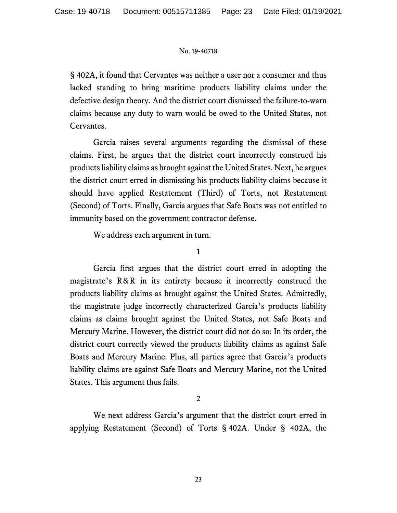§ 402A, it found that Cervantes was neither a user nor a consumer and thus lacked standing to bring maritime products liability claims under the defective design theory. And the district court dismissed the failure-to-warn claims because any duty to warn would be owed to the United States, not Cervantes.

Garcia raises several arguments regarding the dismissal of these claims. First, he argues that the district court incorrectly construed his products liability claims as brought against the United States. Next, he argues the district court erred in dismissing his products liability claims because it should have applied Restatement (Third) of Torts, not Restatement (Second) of Torts. Finally, Garcia argues that Safe Boats was not entitled to immunity based on the government contractor defense.

We address each argument in turn.

1

Garcia first argues that the district court erred in adopting the magistrate's R&R in its entirety because it incorrectly construed the products liability claims as brought against the United States. Admittedly, the magistrate judge incorrectly characterized Garcia's products liability claims as claims brought against the United States, not Safe Boats and Mercury Marine. However, the district court did not do so: In its order, the district court correctly viewed the products liability claims as against Safe Boats and Mercury Marine. Plus, all parties agree that Garcia's products liability claims are against Safe Boats and Mercury Marine, not the United States. This argument thus fails.

2

We next address Garcia's argument that the district court erred in applying Restatement (Second) of Torts § 402A. Under § 402A, the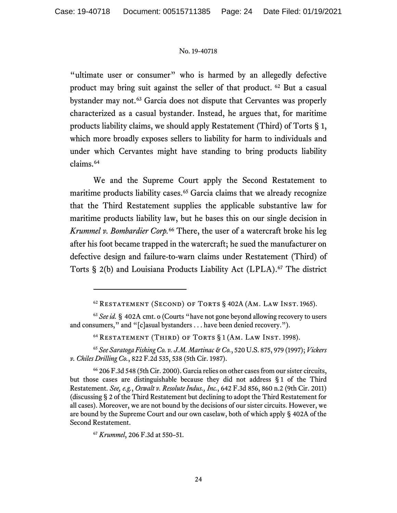"ultimate user or consumer" who is harmed by an allegedly defective product may bring suit against the seller of that product. [62](#page-23-0) But a casual bystander may not.[63](#page-23-1) Garcia does not dispute that Cervantes was properly characterized as a casual bystander. Instead, he argues that, for maritime products liability claims, we should apply Restatement (Third) of Torts § 1, which more broadly exposes sellers to liability for harm to individuals and under which Cervantes might have standing to bring products liability claims.[64](#page-23-2)

We and the Supreme Court apply the Second Restatement to maritime products liability cases.<sup>[65](#page-23-3)</sup> Garcia claims that we already recognize that the Third Restatement supplies the applicable substantive law for maritime products liability law, but he bases this on our single decision in *Krummel v. Bombardier Corp.* [66](#page-23-4) There, the user of a watercraft broke his leg after his foot became trapped in the watercraft; he sued the manufacturer on defective design and failure-to-warn claims under Restatement (Third) of Torts § 2(b) and Louisiana Products Liability Act (LPLA). [67](#page-23-5) The district

<span id="page-23-3"></span><span id="page-23-2"></span><sup>65</sup> *See Saratoga Fishing Co. v. J.M. Martinac & Co.*, 520 U.S. 875, 979 (1997); *Vickers v. Chiles Drilling Co.*, 822 F.2d 535, 538 (5th Cir. 1987).

<sup>62</sup> Restatement (Second) of Torts § 402A (Am. Law Inst. 1965).

<span id="page-23-1"></span><span id="page-23-0"></span><sup>63</sup> *See id.* § 402A cmt. o (Courts "have not gone beyond allowing recovery to users and consumers," and "[c]asual bystanders . . . have been denied recovery.").

<sup>64</sup> Restatement (Third) of Torts § 1 (Am. Law Inst. 1998).

<span id="page-23-4"></span><sup>66</sup> 206 F.3d 548 (5th Cir. 2000). Garcia relies on other cases from our sister circuits, but those cases are distinguishable because they did not address § 1 of the Third Restatement. *See, e.g.*, *Oswalt v. Resolute Indus., Inc.*, 642 F.3d 856, 860 n.2 (9th Cir. 2011) (discussing § 2 of the Third Restatement but declining to adopt the Third Restatement for all cases). Moreover, we are not bound by the decisions of our sister circuits. However, we are bound by the Supreme Court and our own caselaw, both of which apply § 402A of the Second Restatement.

<span id="page-23-5"></span><sup>67</sup> *Krummel*, 206 F.3d at 550–51.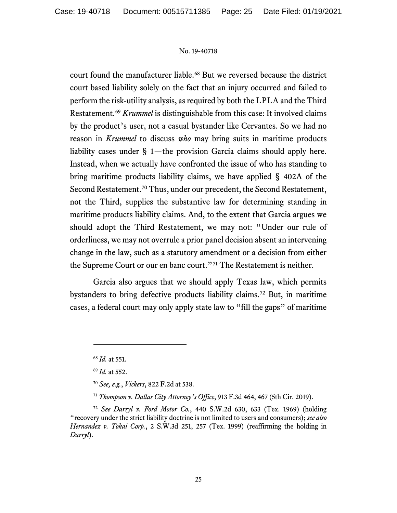court found the manufacturer liable.<sup>[68](#page-24-0)</sup> But we reversed because the district court based liability solely on the fact that an injury occurred and failed to perform the risk-utility analysis, as required by both the LPLA and the Third Restatement.[69](#page-24-1) *Krummel* is distinguishable from this case: It involved claims by the product's user, not a casual bystander like Cervantes. So we had no reason in *Krummel* to discuss *who* may bring suits in maritime products liability cases under § 1—the provision Garcia claims should apply here. Instead, when we actually have confronted the issue of who has standing to bring maritime products liability claims, we have applied § 402A of the Second Restatement.<sup>[70](#page-24-2)</sup> Thus, under our precedent, the Second Restatement, not the Third, supplies the substantive law for determining standing in maritime products liability claims. And, to the extent that Garcia argues we should adopt the Third Restatement, we may not: "Under our rule of orderliness, we may not overrule a prior panel decision absent an intervening change in the law, such as a statutory amendment or a decision from either the Supreme Court or our en banc court."[71](#page-24-3) The Restatement is neither.

Garcia also argues that we should apply Texas law, which permits bystanders to bring defective products liability claims.[72](#page-24-4) But, in maritime cases, a federal court may only apply state law to "fill the gaps" of maritime

<sup>68</sup> *Id.* at 551.

<sup>69</sup> *Id.* at 552.

<sup>70</sup> *See, e.g.*, *Vickers*, 822 F.2d at 538.

<sup>71</sup> *Thompson v. Dallas City Attorney's Office*, 913 F.3d 464, 467 (5th Cir. 2019).

<span id="page-24-4"></span><span id="page-24-3"></span><span id="page-24-2"></span><span id="page-24-1"></span><span id="page-24-0"></span><sup>72</sup> *See Darryl v. Ford Motor Co.*, 440 S.W.2d 630, 633 (Tex. 1969) (holding "recovery under the strict liability doctrine is not limited to users and consumers); *see also Hernandez v. Tokai Corp.*, 2 S.W.3d 251, 257 (Tex. 1999) (reaffirming the holding in *Darryl*).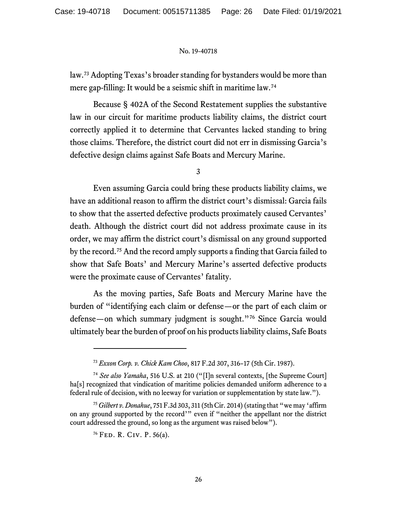law.[73](#page-25-0) Adopting Texas's broader standing for bystanders would be more than mere gap-filling: It would be a seismic shift in maritime law.[74](#page-25-1)

Because § 402A of the Second Restatement supplies the substantive law in our circuit for maritime products liability claims, the district court correctly applied it to determine that Cervantes lacked standing to bring those claims. Therefore, the district court did not err in dismissing Garcia's defective design claims against Safe Boats and Mercury Marine.

3

Even assuming Garcia could bring these products liability claims, we have an additional reason to affirm the district court's dismissal: Garcia fails to show that the asserted defective products proximately caused Cervantes' death. Although the district court did not address proximate cause in its order, we may affirm the district court's dismissal on any ground supported by the record.[75](#page-25-2) And the record amply supports a finding that Garcia failed to show that Safe Boats' and Mercury Marine's asserted defective products were the proximate cause of Cervantes' fatality.

As the moving parties, Safe Boats and Mercury Marine have the burden of "identifying each claim or defense—or the part of each claim or defense—on which summary judgment is sought."[76](#page-25-3) Since Garcia would ultimately bear the burden of proof on his productsliability claims, Safe Boats

<sup>73</sup> *Exxon Corp. v. Chick Kam Choo*, 817 F.2d 307, 316–17 (5th Cir. 1987).

<span id="page-25-1"></span><span id="page-25-0"></span><sup>74</sup> *See also Yamaha*, 516 U.S. at 210 ("[I]n several contexts, [the Supreme Court] ha<sup>[s]</sup> recognized that vindication of maritime policies demanded uniform adherence to a federal rule of decision, with no leeway for variation or supplementation by state law.").

<span id="page-25-3"></span><span id="page-25-2"></span><sup>75</sup> *Gilbert v. Donahue*, 751 F.3d 303, 311 (5th Cir. 2014) (stating that "we may 'affirm on any ground supported by the record'" even if "neither the appellant nor the district court addressed the ground, so long as the argument was raised below").

<sup>76</sup> Fed. R. Civ. P. 56(a).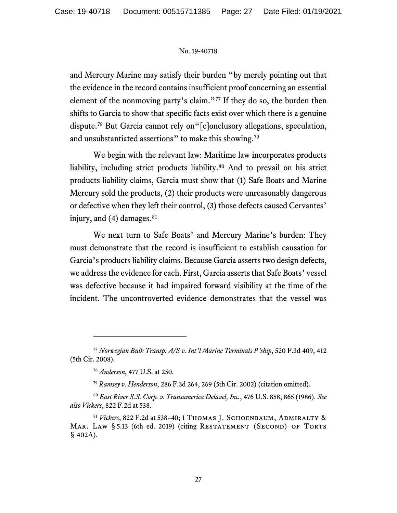and Mercury Marine may satisfy their burden "by merely pointing out that the evidence in the record contains insufficient proof concerning an essential element of the nonmoving party's claim."<sup>[77](#page-26-0)</sup> If they do so, the burden then shifts to Garcia to show that specific facts exist over which there is a genuine dispute.[78](#page-26-1) But Garcia cannot rely on"[c]onclusory allegations, speculation, and unsubstantiated assertions" to make this showing.<sup>[79](#page-26-2)</sup>

We begin with the relevant law: Maritime law incorporates products liability, including strict products liability. [80](#page-26-3) And to prevail on his strict products liability claims, Garcia must show that (1) Safe Boats and Marine Mercury sold the products, (2) their products were unreasonably dangerous or defective when they left their control, (3) those defects caused Cervantes' injury, and  $(4)$  damages.<sup>[81](#page-26-4)</sup>

We next turn to Safe Boats' and Mercury Marine's burden: They must demonstrate that the record is insufficient to establish causation for Garcia's products liability claims. Because Garcia asserts two design defects, we address the evidence for each. First, Garcia asserts that Safe Boats' vessel was defective because it had impaired forward visibility at the time of the incident. The uncontroverted evidence demonstrates that the vessel was

<span id="page-26-1"></span><span id="page-26-0"></span><sup>77</sup> *Norwegian Bulk Transp. A/S v. Int'l Marine Terminals P'ship*, 520 F.3d 409, 412 (5th Cir. 2008).

<sup>78</sup> *Anderson*, 477 U.S. at 250.

<sup>79</sup> *Ramsey v. Henderson*, 286 F.3d 264, 269 (5th Cir. 2002) (citation omitted).

<span id="page-26-3"></span><span id="page-26-2"></span><sup>80</sup> *East River S.S. Corp. v. Transamerica Delavel, Inc.*, 476 U.S. 858, 865 (1986). *See also Vickers*, 822 F.2d at 538.

<span id="page-26-4"></span><sup>81</sup> *Vickers*, 822 F.2d at 538–40; 1 Thomas J. Schoenbaum, Admiralty & MAR. LAW § 5.13 (6th ed. 2019) (citing RESTATEMENT (SECOND) OF TORTS § 402A).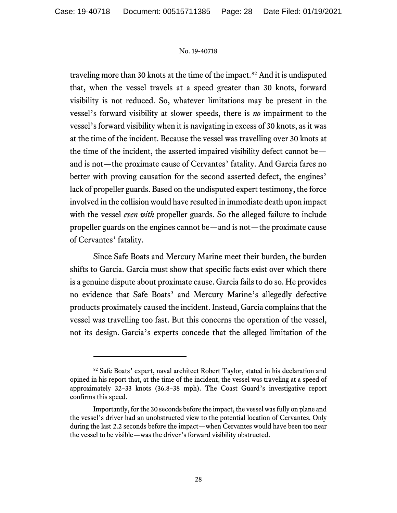traveling more than 30 knots at the time of the impact. [82](#page-27-0) And it is undisputed that, when the vessel travels at a speed greater than 30 knots, forward visibility is not reduced. So, whatever limitations may be present in the vessel's forward visibility at slower speeds, there is *no* impairment to the vessel's forward visibility when it is navigating in excess of 30 knots, as it was at the time of the incident. Because the vessel was travelling over 30 knots at the time of the incident, the asserted impaired visibility defect cannot be and is not—the proximate cause of Cervantes' fatality. And Garcia fares no better with proving causation for the second asserted defect, the engines' lack of propeller guards. Based on the undisputed expert testimony, the force involved in the collision would have resulted in immediate death upon impact with the vessel *even with* propeller guards. So the alleged failure to include propeller guards on the engines cannot be—and is not—the proximate cause of Cervantes' fatality.

Since Safe Boats and Mercury Marine meet their burden, the burden shifts to Garcia. Garcia must show that specific facts exist over which there is a genuine dispute about proximate cause. Garcia fails to do so. He provides no evidence that Safe Boats' and Mercury Marine's allegedly defective products proximately caused the incident. Instead, Garcia complains that the vessel was travelling too fast. But this concerns the operation of the vessel, not its design. Garcia's experts concede that the alleged limitation of the

<span id="page-27-0"></span><sup>82</sup> Safe Boats' expert, naval architect Robert Taylor, stated in his declaration and opined in his report that, at the time of the incident, the vessel was traveling at a speed of approximately 32–33 knots (36.8–38 mph). The Coast Guard's investigative report confirms this speed.

Importantly, for the 30 seconds before the impact, the vessel was fully on plane and the vessel's driver had an unobstructed view to the potential location of Cervantes. Only during the last 2.2 seconds before the impact—when Cervantes would have been too near the vessel to be visible—was the driver's forward visibility obstructed.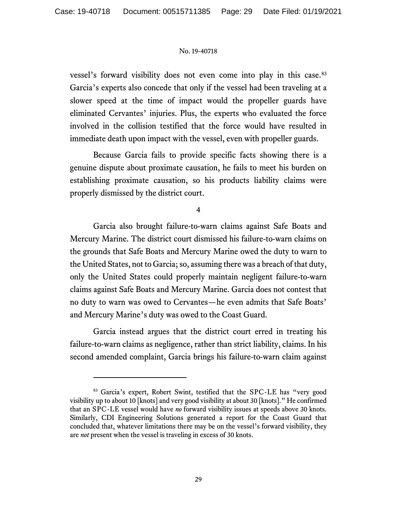vessel's forward visibility does not even come into play in this case.<sup>[83](#page-28-0)</sup> Garcia's experts also concede that only if the vessel had been traveling at a slower speed at the time of impact would the propeller guards have eliminated Cervantes' injuries. Plus, the experts who evaluated the force involved in the collision testified that the force would have resulted in immediate death upon impact with the vessel, even with propeller guards.

Because Garcia fails to provide specific facts showing there is a genuine dispute about proximate causation, he fails to meet his burden on establishing proximate causation, so his products liability claims were properly dismissed by the district court.

4

Garcia also brought failure-to-warn claims against Safe Boats and Mercury Marine. The district court dismissed his failure-to-warn claims on the grounds that Safe Boats and Mercury Marine owed the duty to warn to the United States, not to Garcia; so, assuming there was a breach of that duty, only the United States could properly maintain negligent failure-to-warn claims against Safe Boats and Mercury Marine. Garcia does not contest that no duty to warn was owed to Cervantes—he even admits that Safe Boats' and Mercury Marine's duty was owed to the Coast Guard.

Garcia instead argues that the district court erred in treating his failure-to-warn claims as negligence, rather than strict liability, claims. In his second amended complaint, Garcia brings his failure-to-warn claim against

<span id="page-28-0"></span><sup>83</sup> Garcia's expert, Robert Swint, testified that the SPC-LE has "very good visibility up to about 10 [knots] and very good visibility at about 30 [knots]." He confirmed that an SPC-LE vessel would have *no* forward visibility issues at speeds above 30 knots. Similarly, CDI Engineering Solutions generated a report for the Coast Guard that concluded that, whatever limitations there may be on the vessel's forward visibility, they are *not* present when the vessel is traveling in excess of 30 knots.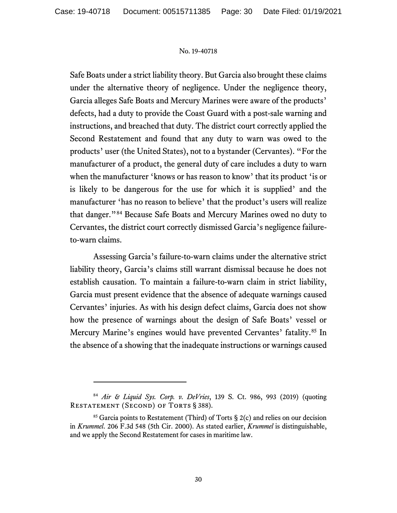Safe Boats under a strict liability theory. But Garcia also brought these claims under the alternative theory of negligence. Under the negligence theory, Garcia alleges Safe Boats and Mercury Marines were aware of the products' defects, had a duty to provide the Coast Guard with a post-sale warning and instructions, and breached that duty. The district court correctly applied the Second Restatement and found that any duty to warn was owed to the products' user (the United States), not to a bystander (Cervantes). "For the manufacturer of a product, the general duty of care includes a duty to warn when the manufacturer 'knows or has reason to know' that its product 'is or is likely to be dangerous for the use for which it is supplied' and the manufacturer 'has no reason to believe' that the product's users will realize that danger."[84](#page-29-0) Because Safe Boats and Mercury Marines owed no duty to Cervantes, the district court correctly dismissed Garcia's negligence failureto-warn claims.

Assessing Garcia's failure-to-warn claims under the alternative strict liability theory, Garcia's claims still warrant dismissal because he does not establish causation. To maintain a failure-to-warn claim in strict liability, Garcia must present evidence that the absence of adequate warnings caused Cervantes' injuries. As with his design defect claims, Garcia does not show how the presence of warnings about the design of Safe Boats' vessel or Mercury Marine's engines would have prevented Cervantes' fatality.<sup>[85](#page-29-1)</sup> In the absence of a showing that the inadequate instructions or warnings caused

<span id="page-29-0"></span><sup>84</sup> *Air & Liquid Sys. Corp. v. DeVries*, 139 S. Ct. 986, 993 (2019) (quoting RESTATEMENT (SECOND) OF TORTS § 388).

<span id="page-29-1"></span> $85$  Garcia points to Restatement (Third) of Torts § 2(c) and relies on our decision in *Krummel*. 206 F.3d 548 (5th Cir. 2000). As stated earlier, *Krummel* is distinguishable, and we apply the Second Restatement for cases in maritime law.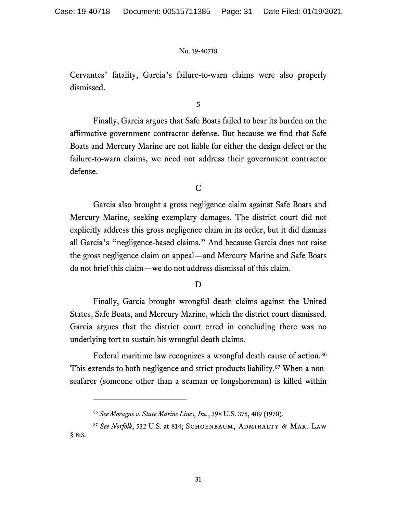Cervantes' fatality, Garcia's failure-to-warn claims were also properly dismissed.

5

Finally, Garcia argues that Safe Boats failed to bear its burden on the affirmative government contractor defense. But because we find that Safe Boats and Mercury Marine are not liable for either the design defect or the failure-to-warn claims, we need not address their government contractor defense.

C

Garcia also brought a gross negligence claim against Safe Boats and Mercury Marine, seeking exemplary damages. The district court did not explicitly address this gross negligence claim in its order, but it did dismiss all Garcia's "negligence-based claims." And because Garcia does not raise the gross negligence claim on appeal—and Mercury Marine and Safe Boats do not brief this claim—we do not address dismissal of this claim.

D

Finally, Garcia brought wrongful death claims against the United States, Safe Boats, and Mercury Marine, which the district court dismissed. Garcia argues that the district court erred in concluding there was no underlying tort to sustain his wrongful death claims.

Federal maritime law recognizes a wrongful death cause of action. [86](#page-30-0) This extends to both negligence and strict products liability.<sup>[87](#page-30-1)</sup> When a nonseafarer (someone other than a seaman or longshoreman) is killed within

<sup>86</sup> *See Moragne v. State Marine Lines, Inc.*, 398 U.S. 375, 409 (1970).

<span id="page-30-1"></span><span id="page-30-0"></span><sup>87</sup> *See Norfolk*, 532 U.S. at 814; Schoenbaum, Admiralty & Mar. Law § 8:3.